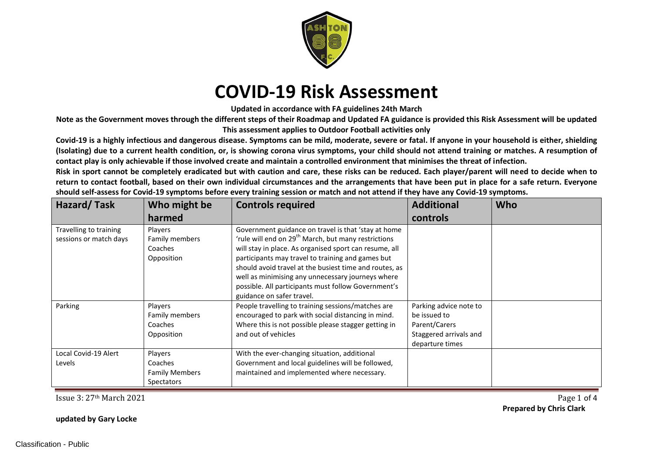

**Updated in accordance with FA guidelines 24th March**

**Note as the Government moves through the different steps of their Roadmap and Updated FA guidance is provided this Risk Assessment will be updated This assessment applies to Outdoor Football activities only**

**Covid-19 is a highly infectious and dangerous disease. Symptoms can be mild, moderate, severe or fatal. If anyone in your household is either, shielding (Isolating) due to a current health condition, or, is showing corona virus symptoms, your child should not attend training or matches. A resumption of contact play is only achievable if those involved create and maintain a controlled environment that minimises the threat of infection.**

**Risk in sport cannot be completely eradicated but with caution and care, these risks can be reduced. Each player/parent will need to decide when to return to contact football, based on their own individual circumstances and the arrangements that have been put in place for a safe return. Everyone should self-assess for Covid-19 symptoms before every training session or match and not attend if they have any Covid-19 symptoms.**

| Hazard/Task                                      | Who might be                                                     | <b>Controls required</b>                                                                                                                                                                                                                                                                                                                                                                                                                 | <b>Additional</b>                                                                                    | <b>Who</b> |
|--------------------------------------------------|------------------------------------------------------------------|------------------------------------------------------------------------------------------------------------------------------------------------------------------------------------------------------------------------------------------------------------------------------------------------------------------------------------------------------------------------------------------------------------------------------------------|------------------------------------------------------------------------------------------------------|------------|
|                                                  | harmed                                                           |                                                                                                                                                                                                                                                                                                                                                                                                                                          | controls                                                                                             |            |
| Travelling to training<br>sessions or match days | Players<br>Family members<br>Coaches<br>Opposition               | Government guidance on travel is that 'stay at home<br>'rule will end on 29 <sup>th</sup> March, but many restrictions<br>will stay in place. As organised sport can resume, all<br>participants may travel to training and games but<br>should avoid travel at the busiest time and routes, as<br>well as minimising any unnecessary journeys where<br>possible. All participants must follow Government's<br>guidance on safer travel. |                                                                                                      |            |
| Parking                                          | Players<br>Family members<br>Coaches<br>Opposition               | People travelling to training sessions/matches are<br>encouraged to park with social distancing in mind.<br>Where this is not possible please stagger getting in<br>and out of vehicles                                                                                                                                                                                                                                                  | Parking advice note to<br>be issued to<br>Parent/Carers<br>Staggered arrivals and<br>departure times |            |
| Local Covid-19 Alert<br>Levels                   | Players<br>Coaches<br><b>Family Members</b><br><b>Spectators</b> | With the ever-changing situation, additional<br>Government and local guidelines will be followed,<br>maintained and implemented where necessary.                                                                                                                                                                                                                                                                                         |                                                                                                      |            |

Issue 3: 27th March 2021 Page 1 of 4 **Prepared by Chris Clark**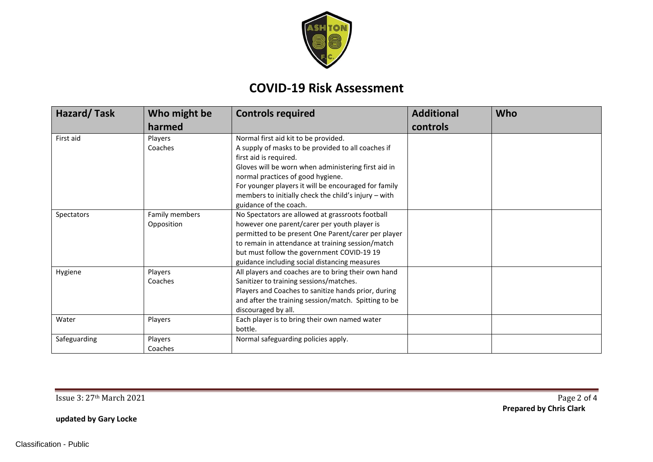

| <b>Hazard/Task</b> | Who might be   | <b>Controls required</b>                             | <b>Additional</b> | Who |
|--------------------|----------------|------------------------------------------------------|-------------------|-----|
|                    | harmed         |                                                      | controls          |     |
| First aid          | Players        | Normal first aid kit to be provided.                 |                   |     |
|                    | Coaches        | A supply of masks to be provided to all coaches if   |                   |     |
|                    |                | first aid is required.                               |                   |     |
|                    |                | Gloves will be worn when administering first aid in  |                   |     |
|                    |                | normal practices of good hygiene.                    |                   |     |
|                    |                | For younger players it will be encouraged for family |                   |     |
|                    |                | members to initially check the child's injury - with |                   |     |
|                    |                | guidance of the coach.                               |                   |     |
| Spectators         | Family members | No Spectators are allowed at grassroots football     |                   |     |
|                    | Opposition     | however one parent/carer per youth player is         |                   |     |
|                    |                | permitted to be present One Parent/carer per player  |                   |     |
|                    |                | to remain in attendance at training session/match    |                   |     |
|                    |                | but must follow the government COVID-19 19           |                   |     |
|                    |                | guidance including social distancing measures        |                   |     |
| Hygiene            | Players        | All players and coaches are to bring their own hand  |                   |     |
|                    | Coaches        | Sanitizer to training sessions/matches.              |                   |     |
|                    |                | Players and Coaches to sanitize hands prior, during  |                   |     |
|                    |                | and after the training session/match. Spitting to be |                   |     |
|                    |                | discouraged by all.                                  |                   |     |
| Water              | Players        | Each player is to bring their own named water        |                   |     |
|                    |                | bottle.                                              |                   |     |
| Safeguarding       | Players        | Normal safeguarding policies apply.                  |                   |     |
|                    | Coaches        |                                                      |                   |     |

Issue 3: 27th March 2021 Page 2 of 4

**Prepared by Chris Clark**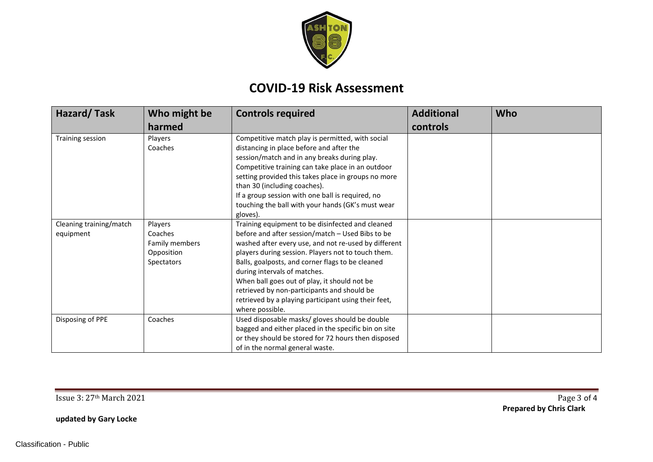

| Hazard/Task                          | Who might be                                                     | <b>Controls required</b>                                                                                                                                                                                                                                                                                                                                                                                                                                                         | <b>Additional</b> | <b>Who</b> |
|--------------------------------------|------------------------------------------------------------------|----------------------------------------------------------------------------------------------------------------------------------------------------------------------------------------------------------------------------------------------------------------------------------------------------------------------------------------------------------------------------------------------------------------------------------------------------------------------------------|-------------------|------------|
|                                      | harmed                                                           |                                                                                                                                                                                                                                                                                                                                                                                                                                                                                  | controls          |            |
| Training session                     | Players<br>Coaches                                               | Competitive match play is permitted, with social<br>distancing in place before and after the<br>session/match and in any breaks during play.                                                                                                                                                                                                                                                                                                                                     |                   |            |
|                                      |                                                                  | Competitive training can take place in an outdoor<br>setting provided this takes place in groups no more<br>than 30 (including coaches).                                                                                                                                                                                                                                                                                                                                         |                   |            |
|                                      |                                                                  | If a group session with one ball is required, no<br>touching the ball with your hands (GK's must wear<br>gloves).                                                                                                                                                                                                                                                                                                                                                                |                   |            |
| Cleaning training/match<br>equipment | Players<br>Coaches<br>Family members<br>Opposition<br>Spectators | Training equipment to be disinfected and cleaned<br>before and after session/match - Used Bibs to be<br>washed after every use, and not re-used by different<br>players during session. Players not to touch them.<br>Balls, goalposts, and corner flags to be cleaned<br>during intervals of matches.<br>When ball goes out of play, it should not be<br>retrieved by non-participants and should be<br>retrieved by a playing participant using their feet,<br>where possible. |                   |            |
| Disposing of PPE                     | Coaches                                                          | Used disposable masks/ gloves should be double<br>bagged and either placed in the specific bin on site<br>or they should be stored for 72 hours then disposed<br>of in the normal general waste.                                                                                                                                                                                                                                                                                 |                   |            |

Issue 3: 27th March 2021 Page 3 of 4 **Prepared by Chris Clark**